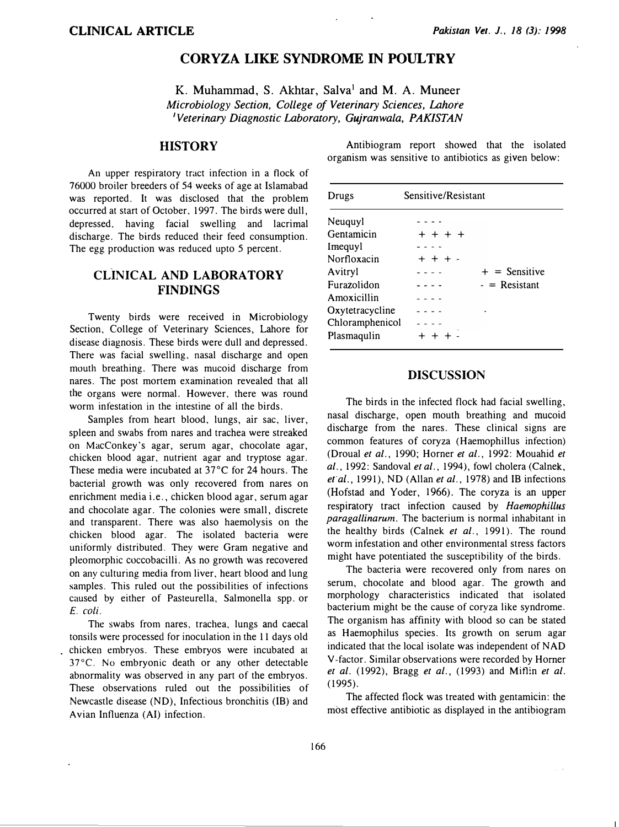# CORYZA LIKE SYNDROME IN POULTRY

K. Muhammad, S. Akhtar, Salva<sup>1</sup> and M. A. Muneer Microbiology Section, College of Veterinary Sciences, Lahore 'Veterinary Diagnostic Laboratory, Gujranwala, PAKISTAN

## **HISTORY**

An upper respiratory tract infection in a flock of 76000 broiler breeders of 54 weeks of age at Islamabad was reported. It was disclosed that the problem occurred at start of October, 1997. The birds were dull, depressed. having facial swelling and lacrimal discharge. The birds reduced their feed consumption. The egg production was reduced upto 5 percent.

## CLINICAL AND LABORATORY FINDINGS

Twenty birds were received in Microbiology Section, College of Veterinary Sciences, Lahore for disease diagnosis. These birds were dull and depressed. There was facial swelling, nasal discharge and open mouth breathing. There was mucoid discharge from nares. The post mortem examination revealed that all the organs were normal. However, there was round worm infestation in the intestine of all the birds.

Samples from heart blood. lungs, air sac, liver, spleen and swabs from nares and trachea were streaked on MacConkey's agar, serum agar, chocolate agar, chicken blood agar, nutrient agar and tryptose agar. These media were incubated at 37°C for 24 hours. The bacterial growth was only recovered from nares on enrichment media i.e., chicken blood agar, serum agar and chocolate agar. The colonies were small, discrete and transparent. There was also haemolysis on the chicken blood agar. The isolated bacteria were uniformly distributed. They were Gram negative and pleomorphic coccobacilli. As no growth was recovered on any culturing media from liver, heart blood and lung samples. This ruled out the possibilities of infections caused by either of Pasteurella, Salmonella spp. or E. coli.

The swabs from nares, trachea, lungs and caecal tonsils were processed for inoculation in the 11 days old chicken embryos. These embryos were incubated at 37°C. No embryonic death or any other detectable abnormality was observed in any part of the embryos. These observations ruled out the possibilities of Newcastle disease (ND), Infectious bronchitis (IB) and Avian Influenza (AI) infection.

Antibiogram report showed that the isolated organism was sensitive to antibiotics as given below:

| Drugs           | Sensitive/Resistant |                 |
|-----------------|---------------------|-----------------|
| Neuguyl         |                     |                 |
| Gentamicin      | + + + +             |                 |
| Imeguyl         |                     |                 |
| Norfloxacin     | $++$ $+$ $+$        |                 |
| Avitryl         |                     | $+$ = Sensitive |
| Furazolidon     |                     | $-$ = Resistant |
| Amoxicillin     |                     |                 |
| Oxytetracycline |                     |                 |
| Chloramphenicol |                     |                 |
| Plasmaqulin     |                     |                 |

#### **DISCUSSION**

The birds in the infected flock had facial swelling, nasal discharge, open mouth breathing and mucoid discharge from the nares. These clinical signs are common features of coryza (Haemophillus infection) (Droual et al., 1990; Horner et al., 1992: Mouahid et al., 1992: Sandoval et al., 1994), fowl cholera (Calnek, et  $al.$ , 1991), ND (Allan et  $al.$ , 1978) and IB infections (Hofstad and Yoder, 1966). The coryza is an upper respiratory tract infection caused by Haemophillus paragallinarum. The bacterium is normal inhabitant in the healthy birds (Calnek et al., 1991). The round worm infestation and other environmental stress factors might have potentiated the susceptibility of the birds.

The bacteria were recovered only from nares on serum, chocolate and blood agar. The growth and morphology characteristics indicated that isolated bacterium might be the cause of coryza like syndrome. The organism has affinity with blood so can be stated as Haemophilus species. Its growth on serum agar indicated that the local isolate was independent of NAD V-factor. Similar observations were recorded by Homer et al.  $(1992)$ , Bragg et al.,  $(1993)$  and Miflin et al. (1995).

The affected flock was treated with gentamicin: the most effective antibiotic as displayed in the antibiogram